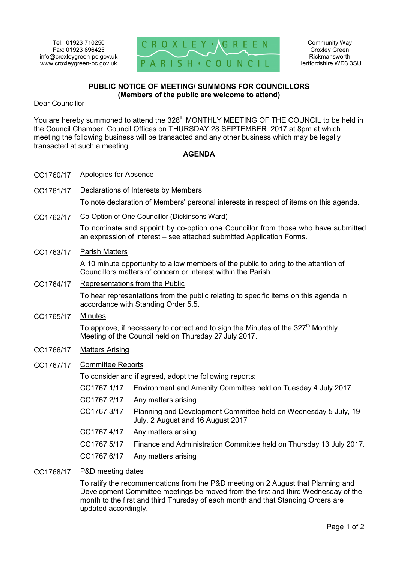CC1760/17 Apologies for Absence



## **PUBLIC NOTICE OF MEETING/ SUMMONS FOR COUNCILLORS (Members of the public are welcome to attend)**

Dear Councillor

You are hereby summoned to attend the 328<sup>th</sup> MONTHLY MEETING OF THE COUNCIL to be held in the Council Chamber, Council Offices on THURSDAY 28 SEPTEMBER 2017 at 8pm at which meeting the following business will be transacted and any other business which may be legally transacted at such a meeting.

## **AGENDA**

| CC1761/17 | Declarations of Interests by Members                                                                                                                       |                                                                                                      |
|-----------|------------------------------------------------------------------------------------------------------------------------------------------------------------|------------------------------------------------------------------------------------------------------|
|           | To note declaration of Members' personal interests in respect of items on this agenda.                                                                     |                                                                                                      |
| CC1762/17 | Co-Option of One Councillor (Dickinsons Ward)                                                                                                              |                                                                                                      |
|           | To nominate and appoint by co-option one Councillor from those who have submitted<br>an expression of interest – see attached submitted Application Forms. |                                                                                                      |
| CC1763/17 | <b>Parish Matters</b>                                                                                                                                      |                                                                                                      |
|           | A 10 minute opportunity to allow members of the public to bring to the attention of<br>Councillors matters of concern or interest within the Parish.       |                                                                                                      |
| CC1764/17 | Representations from the Public                                                                                                                            |                                                                                                      |
|           | To hear representations from the public relating to specific items on this agenda in<br>accordance with Standing Order 5.5.                                |                                                                                                      |
| CC1765/17 | <b>Minutes</b>                                                                                                                                             |                                                                                                      |
|           | To approve, if necessary to correct and to sign the Minutes of the $327th$ Monthly<br>Meeting of the Council held on Thursday 27 July 2017.                |                                                                                                      |
| CC1766/17 | <b>Matters Arising</b>                                                                                                                                     |                                                                                                      |
| CC1767/17 | <b>Committee Reports</b>                                                                                                                                   |                                                                                                      |
|           | To consider and if agreed, adopt the following reports:                                                                                                    |                                                                                                      |
|           | CC1767.1/17                                                                                                                                                | Environment and Amenity Committee held on Tuesday 4 July 2017.                                       |
|           | CC1767.2/17                                                                                                                                                | Any matters arising                                                                                  |
|           | CC1767.3/17                                                                                                                                                | Planning and Development Committee held on Wednesday 5 July, 19<br>July, 2 August and 16 August 2017 |
|           | CC1767.4/17                                                                                                                                                | Any matters arising                                                                                  |
|           | CC1767.5/17                                                                                                                                                | Finance and Administration Committee held on Thursday 13 July 2017.                                  |
|           | CC1767.6/17                                                                                                                                                | Any matters arising                                                                                  |
| CC1768/17 | <b>P&amp;D</b> meeting dates                                                                                                                               |                                                                                                      |

To ratify the recommendations from the P&D meeting on 2 August that Planning and Development Committee meetings be moved from the first and third Wednesday of the month to the first and third Thursday of each month and that Standing Orders are updated accordingly.